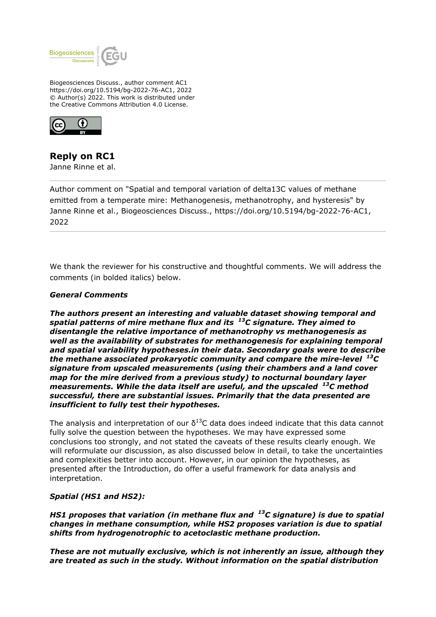

Biogeosciences Discuss., author comment AC1 https://doi.org/10.5194/bg-2022-76-AC1, 2022 © Author(s) 2022. This work is distributed under the Creative Commons Attribution 4.0 License.



# **Reply on RC1**

Janne Rinne et al.

Author comment on "Spatial and temporal variation of delta13C values of methane emitted from a temperate mire: Methanogenesis, methanotrophy, and hysteresis" by Janne Rinne et al., Biogeosciences Discuss., https://doi.org/10.5194/bg-2022-76-AC1, 2022

We thank the reviewer for his constructive and thoughtful comments. We will address the comments (in bolded italics) below.

# *General Comments*

*The authors present an interesting and valuable dataset showing temporal and spatial patterns of mire methane flux and its <sup>13</sup>C signature. They aimed to disentangle the relative importance of methanotrophy vs methanogenesis as well as the availability of substrates for methanogenesis for explaining temporal and spatial variability hypotheses.in their data. Secondary goals were to describe the methane associated prokaryotic community and compare the mire-level <sup>13</sup>C signature from upscaled measurements (using their chambers and a land cover map for the mire derived from a previous study) to nocturnal boundary layer measurements. While the data itself are useful, and the upscaled <sup>13</sup>C method successful, there are substantial issues. Primarily that the data presented are insufficient to fully test their hypotheses.*

The analysis and interpretation of our  $\delta^{13}$ C data does indeed indicate that this data cannot fully solve the question between the hypotheses. We may have expressed some conclusions too strongly, and not stated the caveats of these results clearly enough. We will reformulate our discussion, as also discussed below in detail, to take the uncertainties and complexities better into account. However, in our opinion the hypotheses, as presented after the Introduction, do offer a useful framework for data analysis and interpretation.

# *Spatial (HS1 and HS2):*

*HS1 proposes that variation (in methane flux and <sup>13</sup>C signature) is due to spatial changes in methane consumption, while HS2 proposes variation is due to spatial shifts from hydrogenotrophic to acetoclastic methane production.*

*These are not mutually exclusive, which is not inherently an issue, although they are treated as such in the study. Without information on the spatial distribution*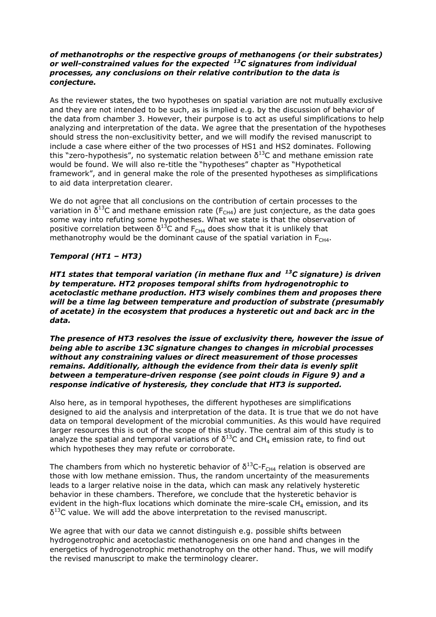### *of methanotrophs or the respective groups of methanogens (or their substrates) or well-constrained values for the expected <sup>13</sup>C signatures from individual processes, any conclusions on their relative contribution to the data is conjecture.*

As the reviewer states, the two hypotheses on spatial variation are not mutually exclusive and they are not intended to be such, as is implied e.g. by the discussion of behavior of the data from chamber 3. However, their purpose is to act as useful simplifications to help analyzing and interpretation of the data. We agree that the presentation of the hypotheses should stress the non-exclusitivity better, and we will modify the revised manuscript to include a case where either of the two processes of HS1 and HS2 dominates. Following this "zero-hypothesis", no systematic relation between  $\delta^{13}$ C and methane emission rate would be found. We will also re-title the "hypotheses" chapter as "Hypothetical framework", and in general make the role of the presented hypotheses as simplifications to aid data interpretation clearer.

We do not agree that all conclusions on the contribution of certain processes to the variation in  $\delta^{13}$ C and methane emission rate (F<sub>CH4</sub>) are just conjecture, as the data goes some way into refuting some hypotheses. What we state is that the observation of positive correlation between  $\delta^{13}$ C and F<sub>CH4</sub> does show that it is unlikely that methanotrophy would be the dominant cause of the spatial variation in  $F<sub>CH4</sub>$ .

# *Temporal (HT1 – HT3)*

*HT1 states that temporal variation (in methane flux and <sup>13</sup>C signature) is driven by temperature. HT2 proposes temporal shifts from hydrogenotrophic to acetoclastic methane production. HT3 wisely combines them and proposes there will be a time lag between temperature and production of substrate (presumably of acetate) in the ecosystem that produces a hysteretic out and back arc in the data.*

*The presence of HT3 resolves the issue of exclusivity there, however the issue of being able to ascribe 13C signature changes to changes in microbial processes without any constraining values or direct measurement of those processes remains. Additionally, although the evidence from their data is evenly split between a temperature-driven response (see point clouds in Figure 9) and a response indicative of hysteresis, they conclude that HT3 is supported.*

Also here, as in temporal hypotheses, the different hypotheses are simplifications designed to aid the analysis and interpretation of the data. It is true that we do not have data on temporal development of the microbial communities. As this would have required larger resources this is out of the scope of this study. The central aim of this study is to analyze the spatial and temporal variations of  $\delta^{13}$ C and CH<sub>4</sub> emission rate, to find out which hypotheses they may refute or corroborate.

The chambers from which no hysteretic behavior of  $\delta^{13}$ C-F<sub>CH4</sub> relation is observed are those with low methane emission. Thus, the random uncertainty of the measurements leads to a larger relative noise in the data, which can mask any relatively hysteretic behavior in these chambers. Therefore, we conclude that the hysteretic behavior is evident in the high-flux locations which dominate the mire-scale  $CH<sub>4</sub>$  emission, and its  $\delta^{13}$ C value. We will add the above interpretation to the revised manuscript.

We agree that with our data we cannot distinguish e.g. possible shifts between hydrogenotrophic and acetoclastic methanogenesis on one hand and changes in the energetics of hydrogenotrophic methanotrophy on the other hand. Thus, we will modify the revised manuscript to make the terminology clearer.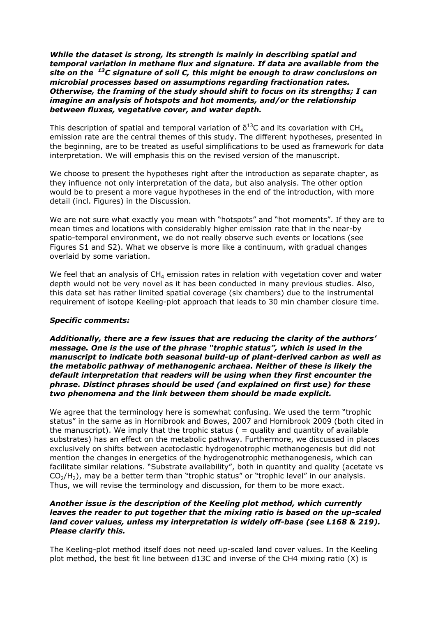*While the dataset is strong, its strength is mainly in describing spatial and temporal variation in methane flux and signature. If data are available from the site on the <sup>13</sup>C signature of soil C, this might be enough to draw conclusions on microbial processes based on assumptions regarding fractionation rates. Otherwise, the framing of the study should shift to focus on its strengths; I can imagine an analysis of hotspots and hot moments, and/or the relationship between fluxes, vegetative cover, and water depth.*

This description of spatial and temporal variation of  $\delta^{13}$ C and its covariation with CH<sub>4</sub> emission rate are the central themes of this study. The different hypotheses, presented in the beginning, are to be treated as useful simplifications to be used as framework for data interpretation. We will emphasis this on the revised version of the manuscript.

We choose to present the hypotheses right after the introduction as separate chapter, as they influence not only interpretation of the data, but also analysis. The other option would be to present a more vague hypotheses in the end of the introduction, with more detail (incl. Figures) in the Discussion.

We are not sure what exactly you mean with "hotspots" and "hot moments". If they are to mean times and locations with considerably higher emission rate that in the near-by spatio-temporal environment, we do not really observe such events or locations (see Figures S1 and S2). What we observe is more like a continuum, with gradual changes overlaid by some variation.

We feel that an analysis of  $CH<sub>4</sub>$  emission rates in relation with vegetation cover and water depth would not be very novel as it has been conducted in many previous studies. Also, this data set has rather limited spatial coverage (six chambers) due to the instrumental requirement of isotope Keeling-plot approach that leads to 30 min chamber closure time.

#### *Specific comments:*

*Additionally, there are a few issues that are reducing the clarity of the authors' message. One is the use of the phrase "trophic status", which is used in the manuscript to indicate both seasonal build-up of plant-derived carbon as well as the metabolic pathway of methanogenic archaea. Neither of these is likely the default interpretation that readers will be using when they first encounter the phrase. Distinct phrases should be used (and explained on first use) for these two phenomena and the link between them should be made explicit.* 

We agree that the terminology here is somewhat confusing. We used the term "trophic status" in the same as in Hornibrook and Bowes, 2007 and Hornibrook 2009 (both cited in the manuscript). We imply that the trophic status  $($  = quality and quantity of available substrates) has an effect on the metabolic pathway. Furthermore, we discussed in places exclusively on shifts between acetoclastic hydrogenotrophic methanogenesis but did not mention the changes in energetics of the hydrogenotrophic methanogenesis, which can facilitate similar relations. "Substrate availability", both in quantity and quality (acetate vs  $CO<sub>2</sub>/H<sub>2</sub>$ ), may be a better term than "trophic status" or "trophic level" in our analysis. Thus, we will revise the terminology and discussion, for them to be more exact.

## *Another issue is the description of the Keeling plot method, which currently leaves the reader to put together that the mixing ratio is based on the up-scaled land cover values, unless my interpretation is widely off-base (see L168 & 219). Please clarify this.*

The Keeling-plot method itself does not need up-scaled land cover values. In the Keeling plot method, the best fit line between d13C and inverse of the CH4 mixing ratio (Χ) is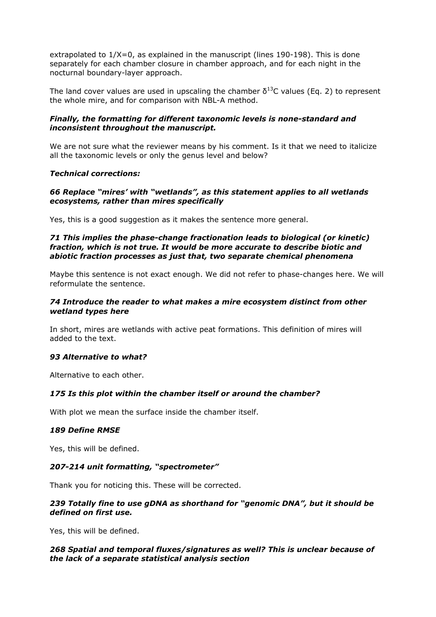extrapolated to 1/Χ=0, as explained in the manuscript (lines 190-198). This is done separately for each chamber closure in chamber approach, and for each night in the nocturnal boundary-layer approach.

The land cover values are used in upscaling the chamber  $\delta^{13}$ C values (Eq. 2) to represent the whole mire, and for comparison with NBL-A method.

## *Finally, the formatting for different taxonomic levels is none-standard and inconsistent throughout the manuscript.*

We are not sure what the reviewer means by his comment. Is it that we need to italicize all the taxonomic levels or only the genus level and below?

#### *Technical corrections:*

## *66 Replace "mires' with "wetlands", as this statement applies to all wetlands ecosystems, rather than mires specifically*

Yes, this is a good suggestion as it makes the sentence more general.

#### *71 This implies the phase-change fractionation leads to biological (or kinetic) fraction, which is not true. It would be more accurate to describe biotic and abiotic fraction processes as just that, two separate chemical phenomena*

Maybe this sentence is not exact enough. We did not refer to phase-changes here. We will reformulate the sentence.

#### *74 Introduce the reader to what makes a mire ecosystem distinct from other wetland types here*

In short, mires are wetlands with active peat formations. This definition of mires will added to the text.

#### *93 Alternative to what?*

Alternative to each other.

#### *175 Is this plot within the chamber itself or around the chamber?*

With plot we mean the surface inside the chamber itself.

#### *189 Define RMSE*

Yes, this will be defined.

#### *207-214 unit formatting, "spectrometer"*

Thank you for noticing this. These will be corrected.

## *239 Totally fine to use gDNA as shorthand for "genomic DNA", but it should be defined on first use.*

Yes, this will be defined.

## *268 Spatial and temporal fluxes/signatures as well? This is unclear because of the lack of a separate statistical analysis section*